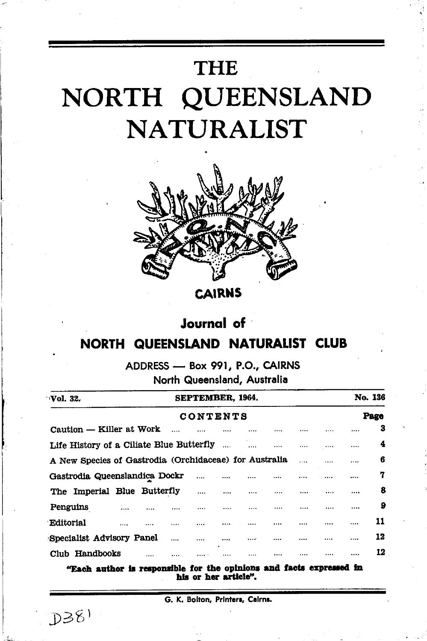# **THE** NORTH QUEENSLAND **NATURALIST**



**CAIRNS** 

## **Journal** of

## **NORTH QUEENSLAND NATURALIST CLUB**

ADDRESS - Box 991, P.O., CAIRNS North Queensland, Australia

| Vol. 32.                                               | <b>SEPTEMBER, 1964,</b> |           |  |          |          |          |          |  | No. 136  |      |  |  |
|--------------------------------------------------------|-------------------------|-----------|--|----------|----------|----------|----------|--|----------|------|--|--|
| CONTENTS                                               |                         |           |  |          |          |          |          |  |          | Page |  |  |
| Caution - Killer at Work                               |                         | $\ddotsc$ |  |          |          |          |          |  |          | з    |  |  |
| Life History of a Ciliate Blue Butterfly               |                         |           |  |          |          | $\cdots$ |          |  |          | 4    |  |  |
| A New Species of Gastrodia (Orchidaceae) for Australia |                         |           |  |          |          |          |          |  |          | 6    |  |  |
| Gastrodia Queenslandica Dockr                          |                         |           |  |          |          |          |          |  | $\cdots$ | 7    |  |  |
| The Imperial Blue Butterfly                            |                         |           |  | $\cdots$ | $\cdots$ |          |          |  |          | 8    |  |  |
| Penguins<br>$\mathbf{m} = 1$                           | $\cdots$                |           |  |          |          |          | $\cdots$ |  |          | 9    |  |  |
| Editorial<br>                                          |                         |           |  |          |          |          |          |  |          | 11   |  |  |
| Specialist Advisory Panel                              |                         |           |  |          |          |          |          |  | .        | 12   |  |  |
| Club Handbooks                                         |                         |           |  |          |          |          |          |  |          | 12   |  |  |

"Each author is responsible for the opinions and facts expressed in his or her article".

 $D38$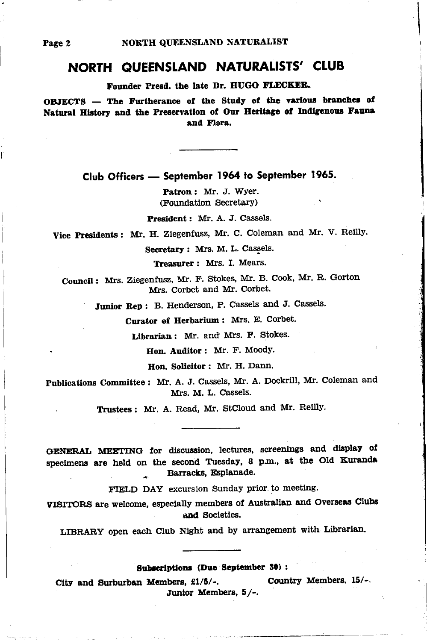## NORTH QUEENSLAND NATURALISTS' CLUB

Founder Presd. the late Dr. HUGO FLECKER.

OBJECTS - The Furtherance of the Study of the various branches of Natural History and the Preservation of Our Heritage of Indigenous Fauna and Flora.

Club Officers - September 1964 to September 1965.

Patron: Mr. J. Wyer. (Foundation Secretary)

President: Mr. A. J. Cassels.

Vice Presidents: Mr. H. Ziegenfusz, Mr. C. Coleman and Mr. V. Reilly.

Secretary: Mrs. M. L. Cassels.

Treasurer: Mrs. I. Mears.

Council: Mrs. Ziegenfusz, Mr. F. Stokes, Mr. B. Cook, Mr. R. Gorton Mrs. Corbet and Mr. Corbet.

Junior Rep: B. Henderson, P. Cassels and J. Cassels.

Curator of Herbarium: Mrs. E. Corbet.

Librarian: Mr. and Mrs. F. Stokes.

Hon. Auditor: Mr. F. Moody.

Hon Solicitor: Mr. H. Dann.

Publications Committee: Mr. A. J. Cassels, Mr. A. Dockrill, Mr. Coleman and Mrs. M. L. Cassels.

Trustees: Mr. A. Read, Mr. StCloud and Mr. Reilly.

GENERAL MEETING for discussion, lectures, screenings and display of specimens are held on the second Tuesday, 8 p.m., at the Old Kuranda Barracks, Esplanade.

FIELD DAY excursion Sunday prior to meeting.

VISITORS are welcome, especially members of Australian and Overseas Clubs and Societies.

LIBRARY open each Club Night and by arrangement with Librarian.

Subscriptions (Due September 30) :

Country Members, 15/-. City and Surburban Members, £1/5/-. Junior Members, 5/-.

Page 2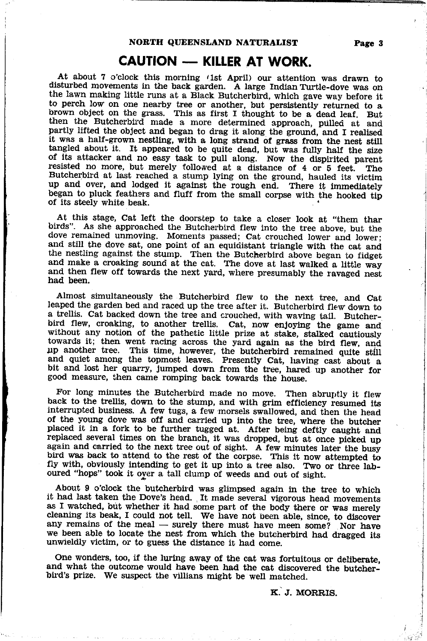## CAUTION - KILLER AT WORK.

At about 7 o'clock this morning (1st April) our attention was drawn to disturbed movements in the back garden. A large Indian Turtle-dove was on the lawn making little runs at a Black Butcherbird, which gave way before it then the Butcherbird made a more determined approach, pulled at and<br>partly lifted the object and began to drag it along the ground, and I realised<br>it was a half-grown nestling, with a long strand of grass from the nest sti Butcherbird at last reached a stump lying on the ground, hauled its victim up and over, and lodged it against the rough end. There it immediately began to pluck feathers and fluff from the small corpse with the hooked tip of its steely white beak.

At this stage, Cat left the doorstep to take a clcser look at "them thar birds". As she approached the Butcherbird flew into the tree above, but the dove remained unmoving. Moments passed; Cat crouched lower and lower; and the nestling against the stump. Then the Butcherbird above began to fidget and make a croaking sound at the cat. The dove at last walked a little way and then flew off towards the next yard, where presumably the ravaged ne

Almost simultaneously the Butcherbird flew to the next tree. and cat leaped the garden bed and raced up the tree after it. Butcherbird flew down to a trellis. Cat backed down the tree and crouched, with waving tail. Butchera trellis. Cat backed down the tree and crouched, with waving tail. Butcher-<br>bird flew, croaking, to another trellis. Cat, now enjoying the game and<br>without any notion of the pathetic little prize at stake, stalked cautiou bit and lost her quarry, Jumped down from the tree, hared up another for good measure, then came romping back towards the house.

For long minutes the Butcherbird made no move. Then abruptly it flew<br>back to the trellis, down to the stump, and with grim efficiency resumed its<br>interrupted business. A few tugs, a few morsels swallowed, and then the hea oured "hops" took it over a tall clump of weeds and out of sight.

About 9 o'clock the butcherbird was glimpsed again in the tree to which it had last taken the Dove's head. It made several vigorous head movements as I watched, but whether it had some part of the body there or was merely cleaning its beak, I could not tell. We have not been able, since, to discover any remains of the meal — surely there must have meen some? Nor have any remains of the meat — surely there must have meen some? Nor have we been able to locate the nest from which the butcherbird had dragged its unwieldly victim, or to guess the distance it had come.

One wonders, too, if the luring away of the cat was fortuitous or deliberate. and what the outcome would have been had the cat discovered the butcher-bird's prize. We suspect the villians might be well matched.

K. J. MORRIS.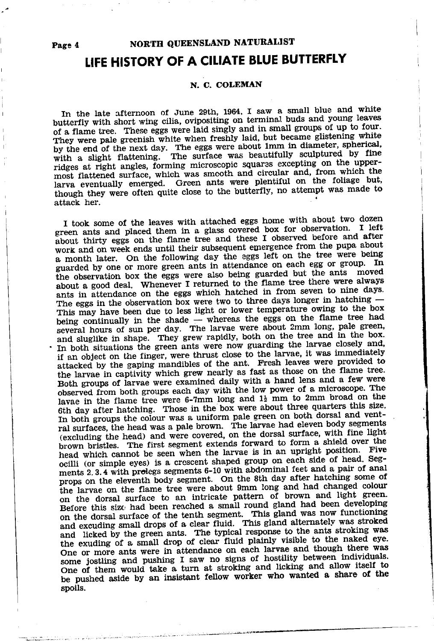Page 4

## NOR'TH QUEENSLAND NATURALIST

## LIFE HISTORY OF A CILIATE BLUE BUTTERFLY

### N C COLEMAN

In the late afternoon of June 29th, 1964, I saw a small blue and white butterfly with short wing cilia, ovipositing on terminal buds and young leaves of a flame tree. These eggs were laid singly and in small groups of up to four. They were pale greenish white when freshly laid, but became glistening white by the end of the next day. The eggs were about 1mm in diameter, spherical, with a slight flattening. The surface was beautifully sculptured by fine ridges at right angles, forming microscopic squares excepting on the uppermost flattened surface, which was smooth and circular and, from which the larva eventually emerged. Green ants were plentiful on the foliage but, though they were often quite close to the butterfly, no attempt was made to attack her.

I took some of the leaves with attached eggs home with about two dozen green ants and placed them in a glass covered box for observation. I left about thirty eggs on the flame tree and these I observed before and after work and on week ends until their subsequent emergence from the pupa about a month later. On the following day the eggs left on the tree were being guarded by one or more green ants in attendance on each egg or group. In the observation box the eggs were also being guarded but the ants moved about a good deal. Whenever I returned to the flame tree there were always ants in attendance on the eggs which hatched in from seven to nine days. The eggs in the observation box were two to three days longer in hatching -This may have been due to less light or lower temperature owing to the box being continually in the shade  $-$  whereas the eggs on the flame tree had several hours of sun per day. The larvae were about 2mm long, pale green, and sluglike in shape. They grew rapidly, both on the tree and in the box. In both situations the green ants were now guarding the larvae closely and, if an object on the finger, were thrust close to the larvae, it was immediately attacked by the gaping mandibles of the ant. Fresh leaves were provided to the larvae in captivity which grew nearly as fast as those on the flame tree. Both groups of larvae were examined daily with a hand lens and a few were observed from both groups each day with the low power of a microscope. The lavae in the flame tree were 6-7mm long and  $1\frac{1}{2}$  mm to 2mm broad on the 6th day after hatching. Those in the box were about three quarters this size. In both groups the colour was a uniform pale green on both dorsal and ventral surfaces, the head was a pale brown. The larvae had eleven body segments (excluding the head) and were covered, on the dorsal surface, with fine light brown bristles. The first segment extends forward to form a shield over the head which cannot be seen when the larvae is in an upright position. Five ocilli (or simple eyes) is a crescent shaped group on each side of head. Segments 2.3.4 with prolegs segments 6-10 with abdominal feet and a pair of anal props on the eleventh body segment. On the 8th day after hatching some of the larvae on the flame tree were about 9mm long and had changed colour on the dorsal surface to an intricate pattern of brown and light green. Before this size had been reached a small round gland had been developing on the dorsal surface of the tenth segment. This gland was now functioning and excuding small drops of a clear fluid. This gland alternately was stroked and licked by the green ants. The typical response to the ants stroking was the exuding of a small drop of clear fluid plainly visible to the naked eye. One or more ants were in attendance on each larvae and though there was some jostling and pushing I saw no signs of hostility between individuals. One of them would take a turn at stroking and licking and allow itself to be pushed aside by an insistant fellow worker who wanted a share of the spoils.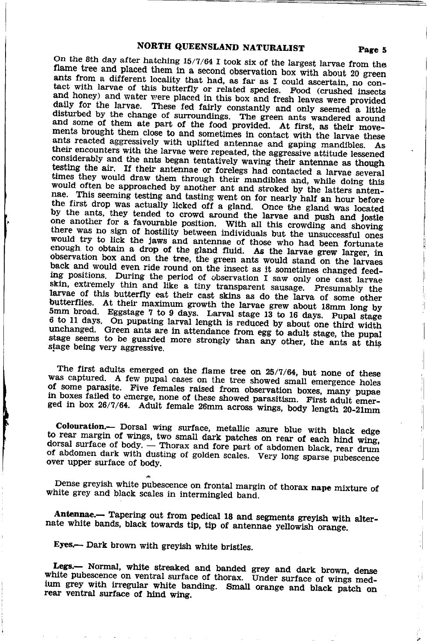On the 8th day after hatching 15/7/64 I took six of the largest larvae from the flame tree and placed them in a second observation box with about 20 green ants from a different locality that had, as far as I could ascertain, no contact with larvae of this butterfly or related species. Food (crushed insects and honey) and water were placed in this box and fresh leaves were provided daily for the larvae. These fed fairly constantly and only seemed a little disturbed by the change of surroundings. The green ants wandered around and some of them ate part of the food provided. At first, as their movements brought them close to and sometimes in contact with the larvae these ants reacted aggressively with uplifted antennae and gaping mandibles. As their encounters with the larvae were repeated, the aggressive attitude lessened considerably and the ants began tentatively waving their antennae as though testing the air. If their antennae or forelegs had contacted a larvae several times they would draw them through their mandibles and, while doing this would often be approached by another ant and stroked by the latters antennae. This seeming testing and tasting went on for nearly half an hour before the first drop was actually licked off a gland. Once the gland was located by the ants, they tended to crowd around the larvae and push and jostle one another for a favourable position. With all this crowding and shoving there was no sign of hostility between individuals but the unsuccessful ones would try to lick the jaws and antennae of those who had been fortunate enough to obtain a drop of the gland fluid. As the larvae grew larger, in observation box and on the tree, the green ants would stand on the larvaes back and would even ride round on the insect as it sometimes changed feeding positions. During the period of observation I saw only one cast larvae skin, extremely thin and like a tiny transparent sausage. Presumably the larvae of this butterfly eat their cast skins as do the larva of some other butterflies. At their maximum growth the larvae grew about 18mm long by 5mm broad. Eggstage 7 to 9 days. Larval stage 13 to 16 days. Pupal stage 6 to 11 days. On pupating larval length is reduced by about one third width unchanged. Green ants are in attendance from egg to adult stage, the pupal stage seems to be guarded more strongly than any other, the ants at this stage being very aggressive.

The first adults emerged on the flame tree on 25/7/64, but none of these was captured. A few pupal cases on the tree showed small emergence holes of some parasite. Five females raised from observation boxes, many pupae in boxes failed to emerge, none of these showed parasitism. First adult emerged in box 26/7/64. Adult female 26mm across wings, body length 20-21mm

Colouration.- Dorsal wing surface, metallic azure blue with black edge to rear margin of wings, two small dark patches on rear of each hind wing, dorsal surface of body. - Thorax and fore part of abdomen black, rear drum of abdomen dark with dusting of golden scales. Very long sparse pubescence over upper surface of body.

Dense greyish white pubescence on frontal margin of thorax nape mixture of white grey and black scales in intermingled band.

Antennae.— Tapering out from pedical 18 and segments greyish with alternate white bands, black towards tip, tip of antennae yellowish orange.

Eyes.-- Dark brown with greyish white bristles.

Legs.- Normal, white streaked and banded grey and dark brown, dense white pubescence on ventral surface of thorax. Under surface of wings medium grey with irregular white banding. Small orange and black patch on rear ventral surface of hind wing.

ij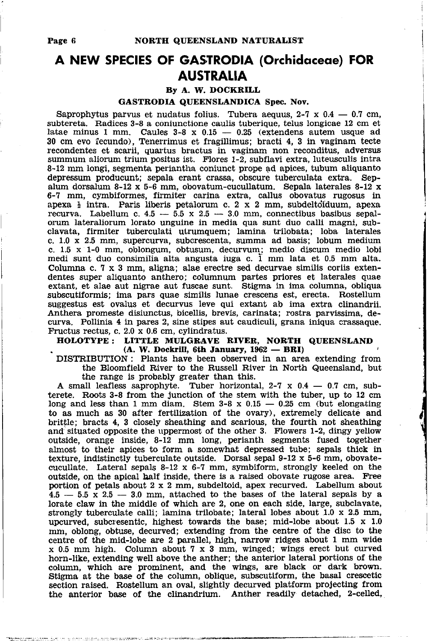## A NEW SPECIES OF GASTRODIA (Orchidoceoe) FOR **AUSTRALIA**

### By A. W. DOCKRILL

### GASTRODIA QUEENSLANDICA Spec. Nov.

Saprophytus parvus et nudatus folius. Tubera aequus,  $2-7 \times 0.4$  – 0.7 cm, - subtereta. Radices 3-8 a coniunctione caulis tuberique, telus longicae 12 cm et latae minus I mm. Caules 3-8 x 0.15 - 0.25 (extendens autem usque ad<br>30 cm evo fecundo). Tenerrimus et fragillimus: bracti 4, 3 in vaginam tecte 30 cm evo fecundo), Tenerrimus et fragillimus; bracti 4, 3 in vaginam tecte recondentes et scarii, quartus bractus in vaginam non reconditus, adversus summum aliorum trium positus ist. Flores 1-2, subflavi extra, luteusculis intra 8-12 mm longi, segmenta periantha coniunct prope ad apices, tubum aliquanto depressum producunt; sepala erant crassa, obscure tuberculata extra. Sepalum dorsalum 8-12 x 5-6 mm, obovatum-cucullatum. Sepala laterales 8-12 x 6-7 mm, cymbiformes, firmiter carina extra, callus obovatus rugosus in apexa  $\frac{1}{2}$  intra. Paris liberis petalorum c. 2 x 2 mm, subdeltotiduum, apexa recurva. Labellum c.  $4.5 - 5.5 \times 2.5 - 3.0 \text{ mm}$ , connectibus basibus sepalrecurva. Labellum c. 4.5 -- 5.5 x 2.5 -- 3.0 mm, connectibus basibus sepai-<br>orum lateraliorum lorato unguine in media qua sunt duo calli magni, subclavata, firmiter tuberculati utrumquem; lamina trilobata; loba laterales c. 1,0 x 2.5 mm, supercurva, subcrescenta, summa ad basis; lobum medium c.  $1.5 \times 1-0$  mm, oblongum, obtusum, decurvum; medio discum medio lobi medi sunt duo consimilia alta angusta iuga c.  $\overline{1}$  mm lata et 0.5 mm alta. Columna c. 7 x 3 mm, aligna; alae erectre sed decurvae similis coriis extendentes super aliquanto anthero; columnum partes priores et laterales quae extant, et alae aut nigrae aut fuscae sunt. Stigma in ima columna, obliqua subscutiformis; ima pars quae similis lunae crescens est, erecta. Rostellum suggestus est ovalus et decurvus leve qui extant ab ima extra clinandrii. Anthera promeste disiunctus, bicellis, brevis, carinata; rostra paryissima, decurva. Pollinia 4 in pares 2, sine stipes aut caudiculi, grana iniqua crassaque. Fructus rectus, c. 2.0 x 0.6 cm, cylindratus.

### HOLOTYPE: LITTLE MULGRAVE RIVER, NORTH QUEENSLAND  $(A. W. Dockrill, 6th January, 1962 - BRI)$

 $(A. W. Dockriii, 6th January, 1962 - 6th)$ <br>DISTRIBUTION: Plants have been observed in an area extending from the Bloomfield River to the Russell River in North Queensland, but the range is probably greater than this.

A small leafless saprophyte. Tuber horizontal,  $2-7 \times 0.4 - 0.7$  cm, sub-A small learless saprophyte. These horizontal,  $2-7 \times 0.4 - 0.7$  cm, subterete. Roots 3-8 from the junction of the stem with the tuber, up to 12 cm long and less than 1 mm diam. Stem  $3-8 \times 0.15 - 0.25$  cm (but elongating long and less than 1 mm diam. Stem  $3-8 \times 0.15 - 0.25$  cm (but elongating to as much as 30 after fertilization of the ovary), extremely delicate and brittle; bracts 4, 3 closely sheathing and scarious, the fourth not sheathing and situated opposite the uppermost of the other 3. Flowers 1-2, dingy yellow outside, orange inside, 8-12 mm long, perianth segments fused together almost to their apices to form a somewhat depressed tube; sepals thick in texture, indistinctly tuberculate outside. Dorsal sepal 9-12 x 5-6 mm, obovatecucullate. Lateral sepals  $8-12 \times 6-7$  mm, symbiform, strongly keeled on the outside, on the apical balf inside, there is a raised obovate rugose area. Free portion of petals about 2 x 2 mm, subdeltoid, apex recurved. Labellum about  $4.5 - 5.5 \times 2.5 - 3.0 \text{ mm}$ , attached to the bases of the lateral sepals by a  $4.5 - 5.5$  x  $2.5 - 3.0$  mm, attached to the pases of the lateral sepals by a lorate claw in the middle of which are 2, one on each side, large, subclavate strongly tuberculate calli; lamina trilobate; lateral lobes about 1.0 x 2.5 mm, upcurved, subcresentic, highest towards the base; mid-lobe about  $1.5 \times 1.0$ mm, oblong, obtuse, decurved; extending from the centre of the disc to the centre of the mid-lobe are 2 parallel, high, narrow ridges about 1 mm wide  $x$  0.5 mm high. Column about 7 x 3 mm, winged; wings erect but curved horn-like, extending well above the anther; the anterior lateral portions of the column, which are prominent, and the wings, are black or dark brown. Stigma at the base of the column, oblique, subscutiform, the basal crescetic section raised. Rostellum an oval, slightly decurved platform projecting from the anterior base of the clinandrium. Anther readily detached, 2-celled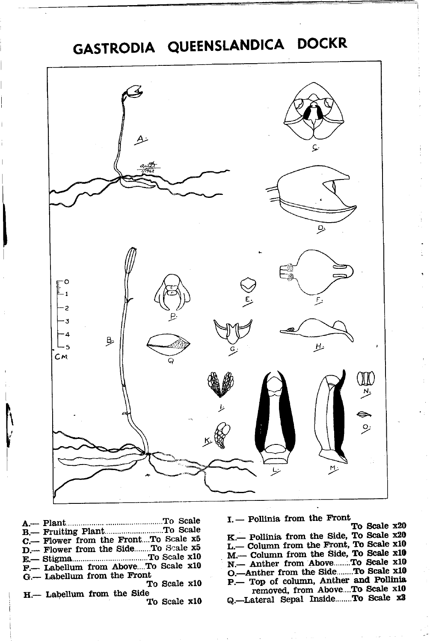## GASTRODIA QUEENSLANDICA DOCKR



C.-- Flower from the Front....To Scale x5 D.--- Flower from the Side........To Scale x5 F.- Labellum from Above...To Scale x10 G.-- Labellum from the Front To Scale x10 H.-- Labellum from the Side

To Scale x10

I. - Pollinia from the Front

To Scale x20 K.- Pollinia from the Side, To Scale x20 L.- Column from the Front, To Scale x10 M.-- Column from the Side, To Scale x10 N. - Anther from Above.......To Scale x10 O.--Anther from the Side.......To Scale x10 P. Top of column, Anther and Pollinia removed, from Above...To Scale x10

Q.-Lateral Sepal Inside.......To Scale x3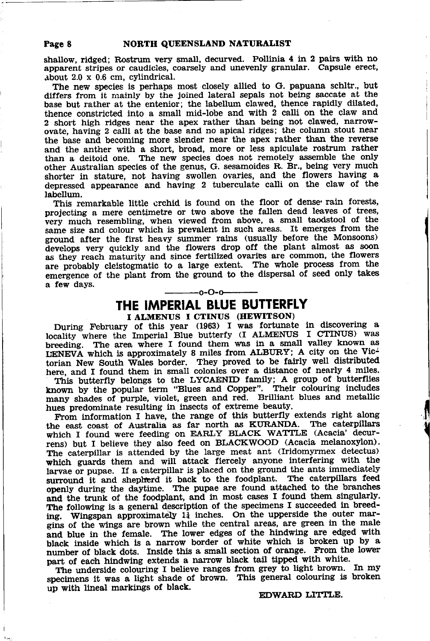shallow, ridged; Rostrum very small, decurved. Pollinia 4 in 2 pairs with no apparent stripes or caudicles, coarsely and unevenly granular. Capsule erect,  $about 2.0 x 0.6 cm, cylindrical.$ 

The new species is perhaps most closely allied to G. papuana schltr., but differs from it mainly by the joined lateral sepals not being saccate at the base but rather at the entenior; the labellum clawed, thence rapidly dilated, thence constricted into a small mid-lobe and with 2 calli on the claw and 2 short high ridges near the apex rather than being not clawed, narrowovate, having 2 calli at the base and no apical ridges; the column stout near the base and becoming more slender near the apex rather than the reverse and the anther with a short, broad, more or less apiculate rostrum rather than a deitoid one. The new species does not remotely assemble the only other Australian species of the genus, G. sesamoides R. Br., being very much shorter in stature, not having swollen ovaries, and the flowers having a depressed appearance and having 2 tuberculate calli on the claw of the labellum.

This remarkable little crchid is found on the floor of dense rain forests, projecting a mere centimetre or two above the fallen dead leaves of trees, very much resembling, when viewed from above, a small taodstool of the same size and colour which is prevalent in such areas. It emerges from the ground after the first heavy summer rains (usually before the Monsoons) develops very quickly and the flowers drop off the plant almost as soon as they reach maturity and since fertilized ovaries are common, the flowers are probably cleistogmatic to a large extent. The whole process from the emergence of the plant from the ground to the dispersal of seed only takes a few days.  $-0 - 0 - 0$ 

### THE IMPERIAL BLUE BUTTERFLY I ALMENUS I CTINUS (HEWITSON)

During February of this year (1963) I was fortunate in discovering a locality where the Imperial Blue butterfy (I ALMENUS I CTINUS) was breeding. The area where I found them was in a small valley known as LENEVA which is approximately 8 miles from ALBURY; A city on the Victorian New South Wales border. They proved to be fairly well distributed here, and I found them in small colonies over a distance of nearly 4 miles.

This butterfly belongs to the LYCAENID family; A group of butterflies known by the popular term "Blues and Copper". Their colouring includes many shades of purple, violet, green and red. Brilliant blues and metallic hues predominate resulting in insects of extreme beauty.

From information I have, the range of this butterfly extends right along the east coast of Australia as far north as KURANDA. The caterpillars which I found were feeding on EARLY BLACK WATTLE (Acacia' decurrens) but I believe they also feed on BLACKWOOD (Acacia melanoxylon). The caterpillar is attended by the large meat ant (Iridomyrmex detectus) vhich guards them and will attack fiercely anyone interfering with the larvae or pupae. If a caterpillar is placed on the ground the ants immediately surround it and sheplrerd it back to the foodplant. The caterpillars feed openly during the daytime. The pupae are found attached to the branches and the trunk of the foodplant, and in most cases I found them singularly. The following is a general description of the specimens I succeeded in breeding. Wingspan approximately  $1<sub>i</sub>$  inches. On the upperside the outer margins of the wings are brown while the central areas, are green in the male ind blue in the female. The lower edges of the hindwing are edged with black inside which is a narrow border of white which is broken up by <sup>a</sup> number of black dots. Inside this a small section of orange. From the lower part of each hindwing extends a narrow black tail tipped with white.

The underside colouring I believe ranges from grey to light brown. In my specimens it was a light shade of brown. This general colouring is broken up with lineal markings of black.

### EDWARD LIITLE.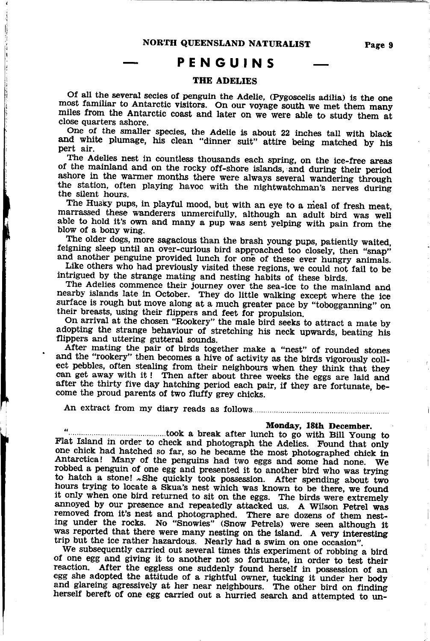## PENGUINS

### **THE ADELIES**

Of all the several secies of penguin the Adelie. (Pygoscelis adilia) is the one most familiar to Antarctic visitors. On our voyage south we met them many miles from the Antarctic coast and later on we were able to study them at close quarters ashore.

One of the smaller species, the Adelie is about 22 inches tall with black and white plumage, his clean "dinner suit" attire being matched by his pert air

The Adelies nest in countless thousands each spring, on the ice-free areas of the mainland and on the rocky off-shore islands, and during their period ashore in the warmer months there were always several wandering through the station, often playing havoc with the nightwatchman's nerves during the silent hours.

The Husky pups, in playful mood, but with an eye to a meal of fresh meat. marrassed these wanderers unmercifully, although an adult bird was well able to hold it's own and many a pup was sent yelping with pain from the blow of a bony wing.

The older dogs, more sagacious than the brash young pups, patiently waited. feigning sleep until an over-curious bird approached too closely, then "snap" and another penguine provided lunch for one of these ever hungry animals.

Like others who had previously visited these regions, we could not fail to be intrigued by the strange mating and nesting habits of these birds.

The Adelies commence their journey over the sea-ice to the mainland and nearby islands late in October. They do little walking except where the ice surface is rough but move along at a much greater pace by "tobogganning" on their breasts, using their flippers and feet for propulsion.

On arrival at the chosen "Rookery" the male bird seeks to attract a mate by adopting the strange behaviour of stretching his neck upwards, beating his flippers and uttering gutteral sounds.

After mating the pair of birds together make a "nest" of rounded stones and the "rookery" then becomes a hive of activity as the birds vigorously collect pebbles, often stealing from their neighbours when they think that they can get away with it! Then after about three weeks the eggs are laid and after the thirty five day hatching period each pair, if they are fortunate, become the proud parents of two fluffy grey chicks.

#### Monday, 18th December.

Flat Island in order to check and photograph the Adelies. Found that only one chick had hatched so far, so he became the most photographed chick in Antarctica! Many of the penguins had two eggs and some had none. We robbed a penguin of one egg and presented it to another bird who was trying to hatch a stone! »She quickly took possession. After spending about two hours trying to locate a Skua's nest which was known to be there, we found it only when one bird returned to sit on the eggs. The birds were extremely annoyed by our presence and repeatedly attacked us. A Wilson Petrel was removed from it's nest and photographed. There are dozens of them nesting under the rocks. No "Snowies" (Snow Petrels) were seen although it was reported that there were many nesting on the island. A very interesting trip but the ice rather hazardous. Nearly had a swim on one occasion".

We subsequently carried out several times this experiment of robbing a bird of one egg and giving it to another not so fortunate, in order to test their of the egg and giving to contained not so fortunate, in order to test their<br>reaction. After the eggless one suddenly found herself in possession of an<br>egg she adopted the attitude of a rightful owner, tucking it under her herself bereft of one egg carried out a hurried search and attempted to un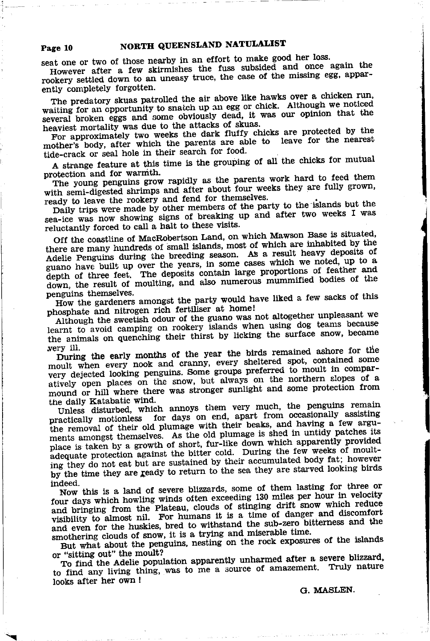seat one or two of those nearby in an effort to make good her loss.

Page 10

However after a few skirmishes the fuss subsided and once again the rookery settled down to an uneasy truce, the case of the missing egg, apparently completely forgotten.

The predatory skuas patrolled the air above like hawks over a chicken run, waiting for an opportunity to snatch up an egg or chick. Although we noticed several broken eggs and some obviously dead, it was our opinion that the heaviest mortality was due to the attacks of skuas.

For approximately two weeks the dark fluffy chicks are protected by the mother's body, after which the parents are able to leave for the nearest tide-crack or seal hole in their search for food.

A strange feature at this time is the grouping of all the chicks for mutual protection and for warmth.

The young penguins grow rapidly as the parents work hard to feed them with semi-digested shrimps and after about four weeks they are fully grown, ready to leave the rookery and fend for themselves.

Daily trips were made by other members of the party to the islands but the sea-ice was now showing signs of breaking up and after two weeks I was reluctantly forced to call a halt to these visits.

Off the coastline of MacRobertson Land, on which Mawson Base is situated, there are many hundreds of small islands, most of which are inhabited by the Adelie Penguins during the breeding season. As a result heavy deposits of guano have built up over the years, in some cases which we noted, up to a depth of three feet. The deposits contain large proportions of feather and down, the result of moulting, and also numerous mummified bodies of the penguins themselves.

How the gardeners amongst the party would have liked a few sacks of this phosphate and nitrogen rich fertiliser at home!

Although the sweetish odour of the guano was not altogether unpleasant we learnt to avoid camping on rookery islands when using dog teams because the animals on quenching their thirst by licking the surface snow, became very ill.

During the early months of the year the birds remained ashore for the moult when every nook and cranny, every sheltered spot, contained some very dejected looking penguins. Some groups preferred to moult in comparatively open places on the snow, but always on the northern slopes of a mound or hill where there was stronger sunlight and some protection from the daily Katabatic wind.

Unless disturbed, which annoys them very much, the penguins remain practically motionless for days on end, apart from occasionally assisting the removal of their old plumage with their beaks, and having a few arguments amongst themselves. As the old plumage is shed in untidy patches its place is taken by a growth of short, fur-like down which apparently provided adequate protection against the bitter cold. During the few weeks of moulting they do not eat but are sustained by their accumulated body fat; however by the time they are ready to return to the sea they are starved looking birds indeed.

Now this is a land of severe blizzards, some of them lasting for three or four days which howling winds often exceeding 130 miles per hour in velocity and bringing from the Plateau, clouds of stinging drift snow which reduce visibility to almost nil. For humans it is a time of danger and discomfort and even for the huskies, bred to withstand the sub-zero bitterness and the smothering clouds of snow, it is a trying and miserable time.

But what about the penguins, nesting on the rock exposures of the islands or "sitting out" the moult?

To find the Adelie population apparently unharmed after a severe blizzard, to find any living thing, was to me a source of amazement. Truly nature looks after her own !

G. MASLEN.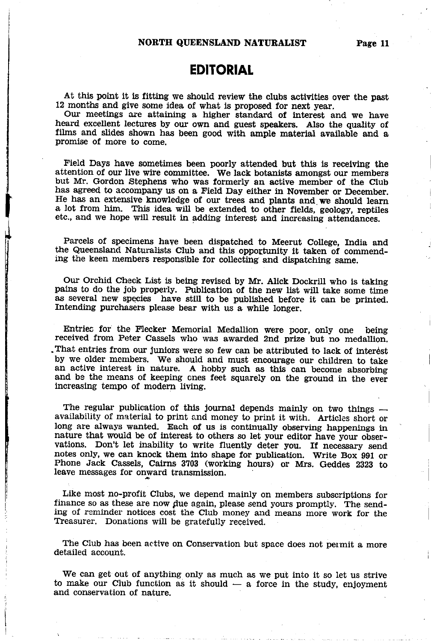## **EDITORIAL**

At this point it is fitting we should review the clubs activities over the past 12 months and give some idea of what is proposed for next year,

Our meetings are attaining a higher standard of interest and we have heard excellent lectures by our own and guest speakers. Also the quality of films and slides shown has been good with ample material available and <sup>a</sup> promise of more to come.

Field Days have sometimes been poorly attended but this is recelving the attention of our live wire committee. We lack botanists amongst our members but Mr. Gordon Stephens who was formerly an active member of the Club has agreed to accompany us on a Field Day either in November or December. He has an extensive knowledge of our trees and plants and.we should learn a lot from him. This idea will be extended to other fields, geology, reptiles etc., and we hope will result in adding interest and increasing attendances.

Parcels of specimens have been dispatched to Meerut College, India and the Queensland Naturalists Club and this opportunity it taken of commend-ing the keen members responsible for collecting and dispatching same.

Our Orchid Check List is being revised by Mr. Alick Dockrill who is taking pains to do the job propelly. Publication of the new list will take some tirie as several new species have still to be published before it can be printed. Intending purchasers please bear with us a while longer,

Entriss for the Flecker Memorial Medallion were poor, only one being received from Peter Cassels who was awarded 2nd prize but no medallion. .That entries from our Juniors were so ferv can be attributed to lack of interdst by we older members. We should and must encourage our children to take an active interest in nature. A hobby such as this can become absorbing and be the means of keeping cnes feet squarely on the ground in the ever increasing tempo of modern living.

The regular publication of this journal depends mainly on two things availability of material to print and money to print it with. Articles short or long are always wanted. Each of us is continually observing happenings in nature that would be of interest to others so let your editor have your observations. Don't let inability to write fluently deter you. If necessary send notes only, we can knock them into shape for publication. Write Box gg1 or Phone Jack Cassels, Cairns 3703 (working hours) or Mrs. Geddes 2323 to leave messages for onward transmission.

Like most no-profit Clubs, we depend mainly on members subscriptions for finance so as these are now due again, please send yours promptly. The sending of reminder notices cost the Club money and means more work for the Treasurer. Donations will be gratefully received.

The Club has been active on Conservation but space does not permit a more detailed account.

We can get out of anything only as much as we put into it so let us strive to make our Club function as it should  $-$  a force in the study, enjoyment and conservation of nature. and conservation of nature.